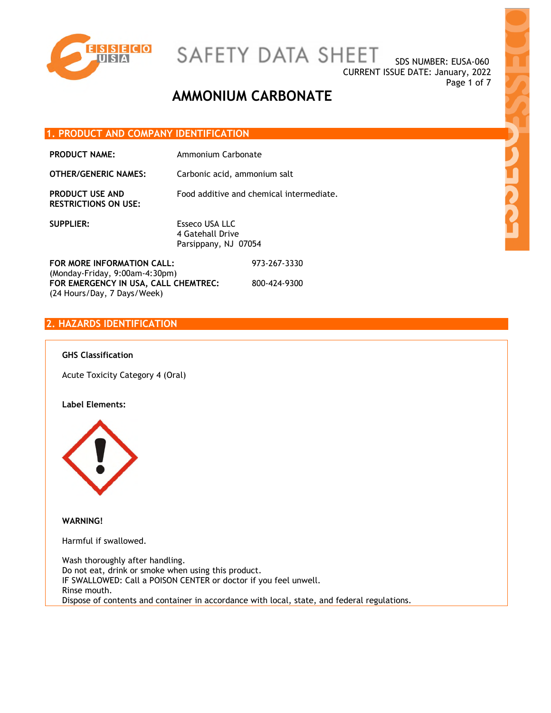

973-267-3330

800-424-9300

SDS NUMBER: EUSA-060 CURRENT ISSUE DATE: January, 2022 Page 1 of 7

## **AMMONIUM CARBONATE**

#### **1. PRODUCT AND COMPANY IDENTIFICATION**

| <b>PRODUCT NAME:</b> | Ammonium Carbonate |
|----------------------|--------------------|
|                      |                    |

**OTHER/GENERIC NAMES:** Carbonic acid, ammonium salt

**PRODUCT USE AND RESTRICTIONS ON USE:**  Food additive and chemical intermediate.

**SUPPLIER:** Esseco USA LLC

4 Gatehall Drive Parsippany, NJ 07054

**FOR MORE INFORMATION CALL:** (Monday-Friday, 9:00am-4:30pm) **FOR EMERGENCY IN USA, CALL CHEMTREC:** (24 Hours/Day, 7 Days/Week)

### **2. HAZARDS IDENTIFICATION**

#### **GHS Classification**

Acute Toxicity Category 4 (Oral)

#### **Label Elements:**



**WARNING!** 

Harmful if swallowed.

Wash thoroughly after handling. Do not eat, drink or smoke when using this product. IF SWALLOWED: Call a POISON CENTER or doctor if you feel unwell. Rinse mouth. Dispose of contents and container in accordance with local, state, and federal regulations.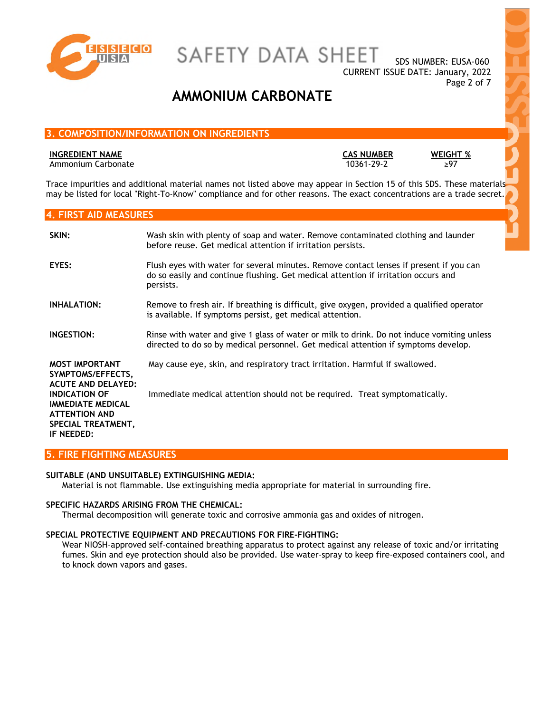

SAFETY DATA SHEET

SDS NUMBER: EUSA-060 CURRENT ISSUE DATE: January, 2022 Page 2 of 7

## **AMMONIUM CARBONATE**

### **3. COMPOSITION/INFORMATION ON INGREDIENTS**

#### **INGREDIENT NAME CAS NUMBER WEIGHT %**

Ammonium Carbonate

Trace impurities and additional material names not listed above may appear in Section 15 of this SDS. These materials may be listed for local "Right-To-Know" compliance and for other reasons. The exact concentrations are a trade secret.

#### **4. FIRST AID MEASURES**

| SKIN:                                                                                                                                                                                   | Wash skin with plenty of soap and water. Remove contaminated clothing and launder<br>before reuse. Get medical attention if irritation persists.                                          |
|-----------------------------------------------------------------------------------------------------------------------------------------------------------------------------------------|-------------------------------------------------------------------------------------------------------------------------------------------------------------------------------------------|
| EYES:                                                                                                                                                                                   | Flush eyes with water for several minutes. Remove contact lenses if present if you can<br>do so easily and continue flushing. Get medical attention if irritation occurs and<br>persists. |
| <b>INHALATION:</b>                                                                                                                                                                      | Remove to fresh air. If breathing is difficult, give oxygen, provided a qualified operator<br>is available. If symptoms persist, get medical attention.                                   |
| INGESTION:                                                                                                                                                                              | Rinse with water and give 1 glass of water or milk to drink. Do not induce vomiting unless<br>directed to do so by medical personnel. Get medical attention if symptoms develop.          |
| <b>MOST IMPORTANT</b><br>SYMPTOMS/EFFECTS,<br><b>ACUTE AND DELAYED:</b><br><b>INDICATION OF</b><br><b>IMMEDIATE MEDICAL</b><br><b>ATTENTION AND</b><br>SPECIAL TREATMENT,<br>IF NEEDED: | May cause eye, skin, and respiratory tract irritation. Harmful if swallowed.<br>Immediate medical attention should not be required. Treat symptomatically.                                |

### **5. FIRE FIGHTING MEASURES**

#### **SUITABLE (AND UNSUITABLE) EXTINGUISHING MEDIA:**

Material is not flammable. Use extinguishing media appropriate for material in surrounding fire.

#### **SPECIFIC HAZARDS ARISING FROM THE CHEMICAL:**

Thermal decomposition will generate toxic and corrosive ammonia gas and oxides of nitrogen.

#### **SPECIAL PROTECTIVE EQUIPMENT AND PRECAUTIONS FOR FIRE-FIGHTING:**

Wear NIOSH-approved self-contained breathing apparatus to protect against any release of toxic and/or irritating fumes. Skin and eye protection should also be provided. Use water-spray to keep fire-exposed containers cool, and to knock down vapors and gases.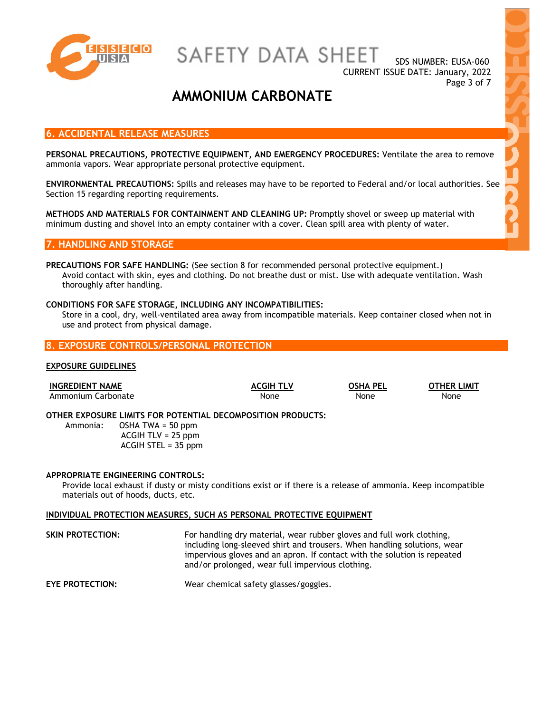

SDS NUMBER: EUSA-060 CURRENT ISSUE DATE: January, 2022 Page 3 of 7

## **AMMONIUM CARBONATE**

#### **6. ACCIDENTAL RELEASE MEASURES**

**PERSONAL PRECAUTIONS, PROTECTIVE EQUIPMENT, AND EMERGENCY PROCEDURES:** Ventilate the area to remove ammonia vapors. Wear appropriate personal protective equipment.

**ENVIRONMENTAL PRECAUTIONS:** Spills and releases may have to be reported to Federal and/or local authorities. See Section 15 regarding reporting requirements.

**METHODS AND MATERIALS FOR CONTAINMENT AND CLEANING UP:** Promptly shovel or sweep up material with minimum dusting and shovel into an empty container with a cover. Clean spill area with plenty of water.

#### **7. HANDLING AND STORAGE**

**PRECAUTIONS FOR SAFE HANDLING:** (See section 8 for recommended personal protective equipment.) Avoid contact with skin, eyes and clothing. Do not breathe dust or mist. Use with adequate ventilation. Wash thoroughly after handling.

#### **CONDITIONS FOR SAFE STORAGE, INCLUDING ANY INCOMPATIBILITIES:**

Store in a cool, dry, well-ventilated area away from incompatible materials. Keep container closed when not in use and protect from physical damage.

#### **8. EXPOSURE CONTROLS/PERSONAL PROTECTION**

#### **EXPOSURE GUIDELINES**

| <b>INGREDIENT NAME</b> |                                                                                             | <b>ACGIH TLV</b> | <b>OSHA PEL</b> | <b>OTHER LIMIT</b> |
|------------------------|---------------------------------------------------------------------------------------------|------------------|-----------------|--------------------|
| Ammonium Carbonate     |                                                                                             | None             | None            | None               |
|                        | OTHER EXPOSURE LIMITS FOR POTENTIAL DECOMPOSITION PRODUCTS:<br>Ammonia: $OSHA$ TWA = 50 ppm |                  |                 |                    |
|                        | $ACGIH TLV = 25 ppm$<br>$ACGIH$ STEL = 35 ppm                                               |                  |                 |                    |

#### **APPROPRIATE ENGINEERING CONTROLS:**

Provide local exhaust if dusty or misty conditions exist or if there is a release of ammonia. Keep incompatible materials out of hoods, ducts, etc.

#### **INDIVIDUAL PROTECTION MEASURES, SUCH AS PERSONAL PROTECTIVE EQUIPMENT**

| SKIN PROTECTION: | For handling dry material, wear rubber gloves and full work clothing,    |
|------------------|--------------------------------------------------------------------------|
|                  | including long-sleeved shirt and trousers. When handling solutions, wear |
|                  | impervious gloves and an apron. If contact with the solution is repeated |
|                  | and/or prolonged, wear full impervious clothing.                         |
|                  |                                                                          |

**EYE PROTECTION:** Wear chemical safety glasses/goggles.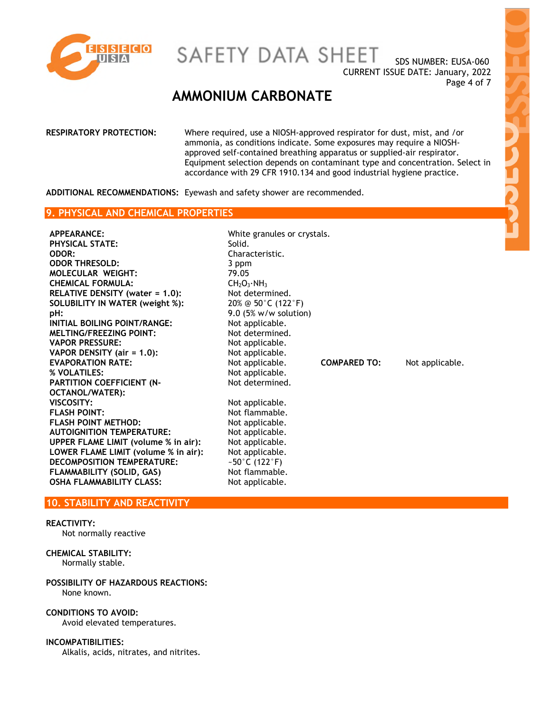

SDS NUMBER: EUSA-060 CURRENT ISSUE DATE: January, 2022 Page 4 of 7

## **AMMONIUM CARBONATE**

**RESPIRATORY PROTECTION:** Where required, use a NIOSH-approved respirator for dust, mist, and /or ammonia, as conditions indicate. Some exposures may require a NIOSHapproved self-contained breathing apparatus or supplied-air respirator. Equipment selection depends on contaminant type and concentration. Select in accordance with 29 CFR 1910.134 and good industrial hygiene practice.

Not determined.

**ADDITIONAL RECOMMENDATIONS:** Eyewash and safety shower are recommended.

#### **9. PHYSICAL AND CHEMICAL PROPERTIES**

**APPEARANCE:** White granules or crystals. **PHYSICAL STATE: ODOR:** Characteristic. **ODOR THRESOLD:** 3 ppm **MOLECULAR WEIGHT:** 79.05<br>**CHEMICAL FORMULA:** CH<sub>2</sub>O<sub>3</sub>·NH<sub>3</sub> **CHEMICAL FORMULA:** CH<sub>2</sub>O<sub>3</sub>·NH<sub>3</sub><br> **RELATIVE DENSITY (water = 1.0):** Not determined. **RELATIVE DENSITY (water = 1.0): SOLUBILITY IN WATER (weight %):** 20% @ 50°C (122°F) **pH:** 9.0 (5% w/w solution) **INITIAL BOILING POINT/RANGE:** Not applicable. **MELTING/FREEZING POINT:** Not determined.<br>
VAPOR PRESSURE: Not applicable. **VAPOR PRESSURE: VAPOR DENSITY (air = 1.0):** Not applicable. **EVAPORATION RATE:** Not applicable. **COMPARED TO:** Not applicable. **% VOLATILES:** Not applicable. **PARTITION COEFFICIENT (N-OCTANOL/WATER): VISCOSITY:** Not applicable. **FLASH POINT:** Not flammable. **FLASH POINT METHOD:** Not applicable. **AUTOIGNITION TEMPERATURE:** Not applicable. **UPPER FLAME LIMIT (volume % in air):** Not applicable. LOWER FLAME LIMIT (volume % in air): Not applicable. **DECOMPOSITION TEMPERATURE:** ~50°C (122°F) **FLAMMABILITY (SOLID, GAS)** Not flammable. **OSHA FLAMMABILITY CLASS:** Not applicable.

#### **10. STABILITY AND REACTIVITY**

#### **REACTIVITY:**

Not normally reactive

#### **CHEMICAL STABILITY:**

Normally stable.

#### **POSSIBILITY OF HAZARDOUS REACTIONS:**  None known.

**CONDITIONS TO AVOID:** 

Avoid elevated temperatures.

#### **INCOMPATIBILITIES:**

Alkalis, acids, nitrates, and nitrites.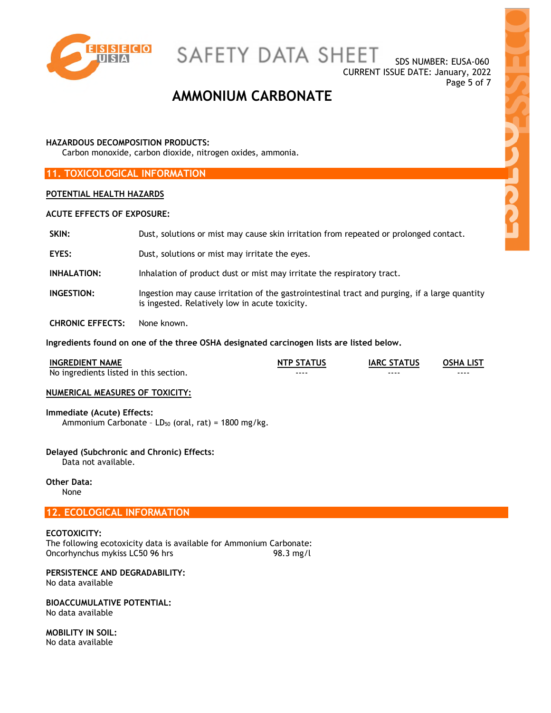

SAFETY DATA SHEET

SDS NUMBER: EUSA-060 CURRENT ISSUE DATE: January, 2022 Page 5 of 7

## **AMMONIUM CARBONATE**

#### **HAZARDOUS DECOMPOSITION PRODUCTS:**

Carbon monoxide, carbon dioxide, nitrogen oxides, ammonia.

#### **11. TOXICOLOGICAL INFORMATION**

#### **POTENTIAL HEALTH HAZARDS**

#### **ACUTE EFFECTS OF EXPOSURE:**

| SKIN: |  |  |  | Dust, solutions or mist may cause skin irritation from repeated or prolonged contact. |  |
|-------|--|--|--|---------------------------------------------------------------------------------------|--|
|       |  |  |  |                                                                                       |  |

- EYES: Dust, solutions or mist may irritate the eyes.
- **INHALATION:** Inhalation of product dust or mist may irritate the respiratory tract.
- **INGESTION:** Ingestion may cause irritation of the gastrointestinal tract and purging, if a large quantity is ingested. Relatively low in acute toxicity.

**CHRONIC EFFECTS:** None known.

**Ingredients found on one of the three OSHA designated carcinogen lists are listed below.** 

| <b>INGREDIENT NAME</b>                 | <b>NTP STATUS</b> | <b>IARC STATUS</b> | <b>OSHA LIST</b> |
|----------------------------------------|-------------------|--------------------|------------------|
| No ingredients listed in this section. | ----              | ----               | ----             |

#### **NUMERICAL MEASURES OF TOXICITY:**

#### **Immediate (Acute) Effects:**

Ammonium Carbonate -  $LD_{50}$  (oral, rat) = 1800 mg/kg.

#### **Delayed (Subchronic and Chronic) Effects:**

Data not available.

## **Other Data:**

None

#### **12. ECOLOGICAL INFORMATION**

**ECOTOXICITY:**  The following ecotoxicity data is available for Ammonium Carbonate: Oncorhynchus mykiss LC50 96 hrs 98.3 mg/l

**PERSISTENCE AND DEGRADABILITY:**  No data available

### **BIOACCUMULATIVE POTENTIAL:**

No data available

**MOBILITY IN SOIL:**  No data available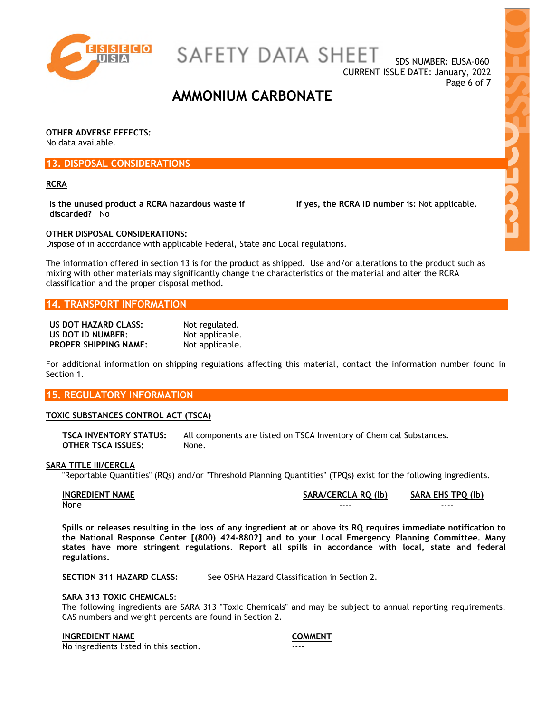

SAFETY DATA SHEET

SDS NUMBER: EUSA-060 CURRENT ISSUE DATE: January, 2022 Page 6 of 7

## **AMMONIUM CARBONATE**

**OTHER ADVERSE EFFECTS:**  No data available.

#### **13. DISPOSAL CONSIDERATIONS**

#### **RCRA**

**Is the unused product a RCRA hazardous waste if discarded?** No

**If yes, the RCRA ID number is:** Not applicable.

**OTHER DISPOSAL CONSIDERATIONS:**  Dispose of in accordance with applicable Federal, State and Local regulations.

The information offered in section 13 is for the product as shipped. Use and/or alterations to the product such as mixing with other materials may significantly change the characteristics of the material and alter the RCRA classification and the proper disposal method.

#### **14. TRANSPORT INFORMATION**

| US DOT HAZARD CLASS:         | Not regulated.  |
|------------------------------|-----------------|
| US DOT ID NUMBER:            | Not applicable. |
| <b>PROPER SHIPPING NAME:</b> | Not applicable. |

For additional information on shipping regulations affecting this material, contact the information number found in Section 1.

#### **15. REGULATORY INFORMATION**

#### **TOXIC SUBSTANCES CONTROL ACT (TSCA)**

**TSCA INVENTORY STATUS:** All components are listed on TSCA Inventory of Chemical Substances. **OTHER TSCA ISSUES:** None.

#### **SARA TITLE III/CERCLA**

"Reportable Quantities" (RQs) and/or "Threshold Planning Quantities" (TPQs) exist for the following ingredients.

**INGREDIENT NAME SARA/CERCLA RQ (lb) SARA EHS TPQ (lb)** None ---- ----

**Spills or releases resulting in the loss of any ingredient at or above its RQ requires immediate notification to the National Response Center [(800) 424-8802] and to your Local Emergency Planning Committee. Many states have more stringent regulations. Report all spills in accordance with local, state and federal regulations.** 

**SECTION 311 HAZARD CLASS:** See OSHA Hazard Classification in Section 2.

#### **SARA 313 TOXIC CHEMICALS**:

The following ingredients are SARA 313 "Toxic Chemicals" and may be subject to annual reporting requirements. CAS numbers and weight percents are found in Section 2.

#### **INGREDIENT NAME COMMENT**

No ingredients listed in this section.